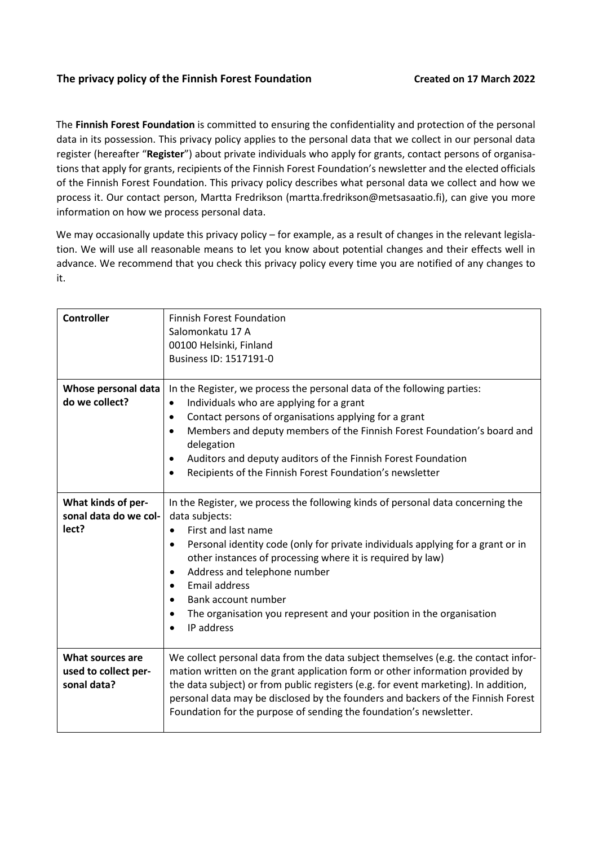## **The privacy policy of the Finnish Forest Foundation Created on 17 March 2022**

The **Finnish Forest Foundation** is committed to ensuring the confidentiality and protection of the personal data in its possession. This privacy policy applies to the personal data that we collect in our personal data register (hereafter "**Register**") about private individuals who apply for grants, contact persons of organisations that apply for grants, recipients of the Finnish Forest Foundation's newsletter and the elected officials of the Finnish Forest Foundation. This privacy policy describes what personal data we collect and how we process it. Our contact person, Martta Fredrikson (martta.fredrikson@metsasaatio.fi), can give you more information on how we process personal data.

We may occasionally update this privacy policy – for example, as a result of changes in the relevant legislation. We will use all reasonable means to let you know about potential changes and their effects well in advance. We recommend that you check this privacy policy every time you are notified of any changes to it.

| <b>Controller</b>                                       | <b>Finnish Forest Foundation</b><br>Salomonkatu 17 A<br>00100 Helsinki, Finland<br>Business ID: 1517191-0                                                                                                                                                                                                                                                                                                                                                                           |  |  |  |
|---------------------------------------------------------|-------------------------------------------------------------------------------------------------------------------------------------------------------------------------------------------------------------------------------------------------------------------------------------------------------------------------------------------------------------------------------------------------------------------------------------------------------------------------------------|--|--|--|
| Whose personal data<br>do we collect?                   | In the Register, we process the personal data of the following parties:<br>Individuals who are applying for a grant<br>$\bullet$<br>Contact persons of organisations applying for a grant<br>$\bullet$<br>Members and deputy members of the Finnish Forest Foundation's board and<br>$\bullet$<br>delegation<br>Auditors and deputy auditors of the Finnish Forest Foundation<br>$\bullet$<br>Recipients of the Finnish Forest Foundation's newsletter                              |  |  |  |
| What kinds of per-<br>sonal data do we col-<br>lect?    | In the Register, we process the following kinds of personal data concerning the<br>data subjects:<br>First and last name<br>$\bullet$<br>Personal identity code (only for private individuals applying for a grant or in<br>$\bullet$<br>other instances of processing where it is required by law)<br>Address and telephone number<br>$\bullet$<br>Email address<br>Bank account number<br>The organisation you represent and your position in the organisation<br>٠<br>IP address |  |  |  |
| What sources are<br>used to collect per-<br>sonal data? | We collect personal data from the data subject themselves (e.g. the contact infor-<br>mation written on the grant application form or other information provided by<br>the data subject) or from public registers (e.g. for event marketing). In addition,<br>personal data may be disclosed by the founders and backers of the Finnish Forest<br>Foundation for the purpose of sending the foundation's newsletter.                                                                |  |  |  |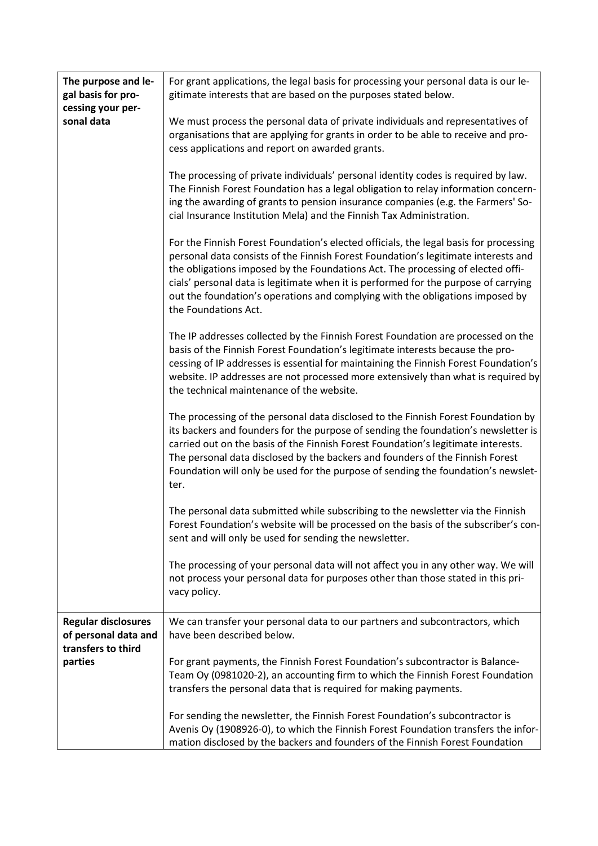| The purpose and le-        | For grant applications, the legal basis for processing your personal data is our le-                                                                                                                                                                         |  |  |  |  |
|----------------------------|--------------------------------------------------------------------------------------------------------------------------------------------------------------------------------------------------------------------------------------------------------------|--|--|--|--|
| gal basis for pro-         | gitimate interests that are based on the purposes stated below.                                                                                                                                                                                              |  |  |  |  |
| cessing your per-          |                                                                                                                                                                                                                                                              |  |  |  |  |
| sonal data                 | We must process the personal data of private individuals and representatives of                                                                                                                                                                              |  |  |  |  |
|                            | organisations that are applying for grants in order to be able to receive and pro-                                                                                                                                                                           |  |  |  |  |
|                            | cess applications and report on awarded grants.                                                                                                                                                                                                              |  |  |  |  |
|                            |                                                                                                                                                                                                                                                              |  |  |  |  |
|                            | The processing of private individuals' personal identity codes is required by law.                                                                                                                                                                           |  |  |  |  |
|                            | The Finnish Forest Foundation has a legal obligation to relay information concern-                                                                                                                                                                           |  |  |  |  |
|                            | ing the awarding of grants to pension insurance companies (e.g. the Farmers' So-                                                                                                                                                                             |  |  |  |  |
|                            |                                                                                                                                                                                                                                                              |  |  |  |  |
|                            | cial Insurance Institution Mela) and the Finnish Tax Administration.                                                                                                                                                                                         |  |  |  |  |
|                            |                                                                                                                                                                                                                                                              |  |  |  |  |
|                            | For the Finnish Forest Foundation's elected officials, the legal basis for processing                                                                                                                                                                        |  |  |  |  |
|                            | personal data consists of the Finnish Forest Foundation's legitimate interests and                                                                                                                                                                           |  |  |  |  |
|                            | the obligations imposed by the Foundations Act. The processing of elected offi-                                                                                                                                                                              |  |  |  |  |
|                            | cials' personal data is legitimate when it is performed for the purpose of carrying                                                                                                                                                                          |  |  |  |  |
|                            | out the foundation's operations and complying with the obligations imposed by                                                                                                                                                                                |  |  |  |  |
|                            | the Foundations Act.                                                                                                                                                                                                                                         |  |  |  |  |
|                            |                                                                                                                                                                                                                                                              |  |  |  |  |
|                            | The IP addresses collected by the Finnish Forest Foundation are processed on the                                                                                                                                                                             |  |  |  |  |
|                            | basis of the Finnish Forest Foundation's legitimate interests because the pro-                                                                                                                                                                               |  |  |  |  |
|                            | cessing of IP addresses is essential for maintaining the Finnish Forest Foundation's                                                                                                                                                                         |  |  |  |  |
|                            |                                                                                                                                                                                                                                                              |  |  |  |  |
|                            | website. IP addresses are not processed more extensively than what is required by                                                                                                                                                                            |  |  |  |  |
|                            | the technical maintenance of the website.                                                                                                                                                                                                                    |  |  |  |  |
|                            | The processing of the personal data disclosed to the Finnish Forest Foundation by<br>its backers and founders for the purpose of sending the foundation's newsletter is<br>carried out on the basis of the Finnish Forest Foundation's legitimate interests. |  |  |  |  |
|                            | The personal data disclosed by the backers and founders of the Finnish Forest<br>Foundation will only be used for the purpose of sending the foundation's newslet-<br>ter.                                                                                   |  |  |  |  |
|                            |                                                                                                                                                                                                                                                              |  |  |  |  |
|                            | The personal data submitted while subscribing to the newsletter via the Finnish<br>Forest Foundation's website will be processed on the basis of the subscriber's con-<br>sent and will only be used for sending the newsletter.                             |  |  |  |  |
|                            |                                                                                                                                                                                                                                                              |  |  |  |  |
|                            | The processing of your personal data will not affect you in any other way. We will                                                                                                                                                                           |  |  |  |  |
|                            | not process your personal data for purposes other than those stated in this pri-                                                                                                                                                                             |  |  |  |  |
|                            | vacy policy.                                                                                                                                                                                                                                                 |  |  |  |  |
|                            |                                                                                                                                                                                                                                                              |  |  |  |  |
| <b>Regular disclosures</b> | We can transfer your personal data to our partners and subcontractors, which                                                                                                                                                                                 |  |  |  |  |
| of personal data and       | have been described below.                                                                                                                                                                                                                                   |  |  |  |  |
| transfers to third         |                                                                                                                                                                                                                                                              |  |  |  |  |
| parties                    | For grant payments, the Finnish Forest Foundation's subcontractor is Balance-                                                                                                                                                                                |  |  |  |  |
|                            | Team Oy (0981020-2), an accounting firm to which the Finnish Forest Foundation                                                                                                                                                                               |  |  |  |  |
|                            | transfers the personal data that is required for making payments.                                                                                                                                                                                            |  |  |  |  |
|                            |                                                                                                                                                                                                                                                              |  |  |  |  |
|                            | For sending the newsletter, the Finnish Forest Foundation's subcontractor is                                                                                                                                                                                 |  |  |  |  |
|                            | Avenis Oy (1908926-0), to which the Finnish Forest Foundation transfers the infor-                                                                                                                                                                           |  |  |  |  |
|                            | mation disclosed by the backers and founders of the Finnish Forest Foundation                                                                                                                                                                                |  |  |  |  |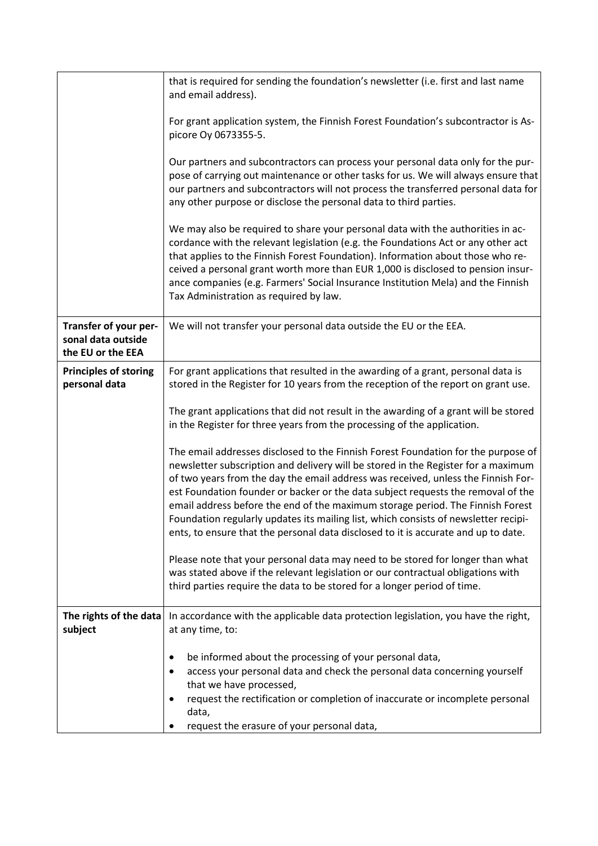|                                                                  | that is required for sending the foundation's newsletter (i.e. first and last name<br>and email address).                                                                                                                                                                                                                                                                                                                                                                                                                                                                                                      |  |  |  |
|------------------------------------------------------------------|----------------------------------------------------------------------------------------------------------------------------------------------------------------------------------------------------------------------------------------------------------------------------------------------------------------------------------------------------------------------------------------------------------------------------------------------------------------------------------------------------------------------------------------------------------------------------------------------------------------|--|--|--|
|                                                                  | For grant application system, the Finnish Forest Foundation's subcontractor is As-<br>picore Oy 0673355-5.                                                                                                                                                                                                                                                                                                                                                                                                                                                                                                     |  |  |  |
|                                                                  | Our partners and subcontractors can process your personal data only for the pur-<br>pose of carrying out maintenance or other tasks for us. We will always ensure that<br>our partners and subcontractors will not process the transferred personal data for<br>any other purpose or disclose the personal data to third parties.                                                                                                                                                                                                                                                                              |  |  |  |
|                                                                  | We may also be required to share your personal data with the authorities in ac-<br>cordance with the relevant legislation (e.g. the Foundations Act or any other act<br>that applies to the Finnish Forest Foundation). Information about those who re-<br>ceived a personal grant worth more than EUR 1,000 is disclosed to pension insur-<br>ance companies (e.g. Farmers' Social Insurance Institution Mela) and the Finnish<br>Tax Administration as required by law.                                                                                                                                      |  |  |  |
| Transfer of your per-<br>sonal data outside<br>the EU or the EEA | We will not transfer your personal data outside the EU or the EEA.                                                                                                                                                                                                                                                                                                                                                                                                                                                                                                                                             |  |  |  |
| <b>Principles of storing</b><br>personal data                    | For grant applications that resulted in the awarding of a grant, personal data is<br>stored in the Register for 10 years from the reception of the report on grant use.                                                                                                                                                                                                                                                                                                                                                                                                                                        |  |  |  |
|                                                                  | The grant applications that did not result in the awarding of a grant will be stored<br>in the Register for three years from the processing of the application.                                                                                                                                                                                                                                                                                                                                                                                                                                                |  |  |  |
|                                                                  | The email addresses disclosed to the Finnish Forest Foundation for the purpose of<br>newsletter subscription and delivery will be stored in the Register for a maximum<br>of two years from the day the email address was received, unless the Finnish For-<br>est Foundation founder or backer or the data subject requests the removal of the<br>email address before the end of the maximum storage period. The Finnish Forest<br>Foundation regularly updates its mailing list, which consists of newsletter recipi-<br>ents, to ensure that the personal data disclosed to it is accurate and up to date. |  |  |  |
|                                                                  | Please note that your personal data may need to be stored for longer than what<br>was stated above if the relevant legislation or our contractual obligations with<br>third parties require the data to be stored for a longer period of time.                                                                                                                                                                                                                                                                                                                                                                 |  |  |  |
| The rights of the data                                           | In accordance with the applicable data protection legislation, you have the right,                                                                                                                                                                                                                                                                                                                                                                                                                                                                                                                             |  |  |  |
| subject                                                          | at any time, to:                                                                                                                                                                                                                                                                                                                                                                                                                                                                                                                                                                                               |  |  |  |
|                                                                  | be informed about the processing of your personal data,<br>٠                                                                                                                                                                                                                                                                                                                                                                                                                                                                                                                                                   |  |  |  |
|                                                                  | access your personal data and check the personal data concerning yourself<br>٠                                                                                                                                                                                                                                                                                                                                                                                                                                                                                                                                 |  |  |  |
|                                                                  | that we have processed,                                                                                                                                                                                                                                                                                                                                                                                                                                                                                                                                                                                        |  |  |  |
|                                                                  | request the rectification or completion of inaccurate or incomplete personal<br>data,                                                                                                                                                                                                                                                                                                                                                                                                                                                                                                                          |  |  |  |
|                                                                  | request the erasure of your personal data,                                                                                                                                                                                                                                                                                                                                                                                                                                                                                                                                                                     |  |  |  |